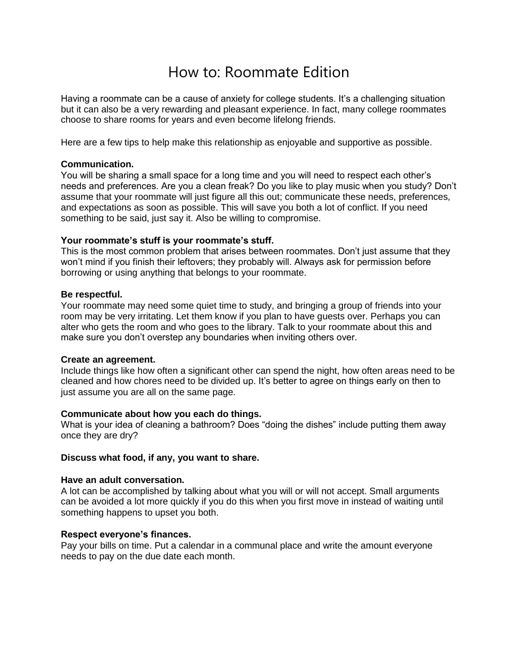# How to: Roommate Edition

Having a roommate can be a cause of anxiety for college students. It's a challenging situation but it can also be a very rewarding and pleasant experience. In fact, many college roommates choose to share rooms for years and even become lifelong friends.

Here are a few tips to help make this relationship as enjoyable and supportive as possible.

#### **Communication.**

You will be sharing a small space for a long time and you will need to respect each other's needs and preferences. Are you a clean freak? Do you like to play music when you study? Don't assume that your roommate will just figure all this out; communicate these needs, preferences, and expectations as soon as possible. This will save you both a lot of conflict. If you need something to be said, just say it. Also be willing to compromise.

# **Your roommate's stuff is your roommate's stuff.**

This is the most common problem that arises between roommates. Don't just assume that they won't mind if you finish their leftovers; they probably will. Always ask for permission before borrowing or using anything that belongs to your roommate.

#### **Be respectful.**

Your roommate may need some quiet time to study, and bringing a group of friends into your room may be very irritating. Let them know if you plan to have guests over. Perhaps you can alter who gets the room and who goes to the library. Talk to your roommate about this and make sure you don't overstep any boundaries when inviting others over.

#### **Create an agreement.**

Include things like how often a significant other can spend the night, how often areas need to be cleaned and how chores need to be divided up. It's better to agree on things early on then to just assume you are all on the same page.

# **Communicate about how you each do things.**

What is your idea of cleaning a bathroom? Does "doing the dishes" include putting them away once they are dry?

#### **Discuss what food, if any, you want to share.**

#### **Have an adult conversation.**

A lot can be accomplished by talking about what you will or will not accept. Small arguments can be avoided a lot more quickly if you do this when you first move in instead of waiting until something happens to upset you both.

# **Respect everyone's finances.**

Pay your bills on time. Put a calendar in a communal place and write the amount everyone needs to pay on the due date each month.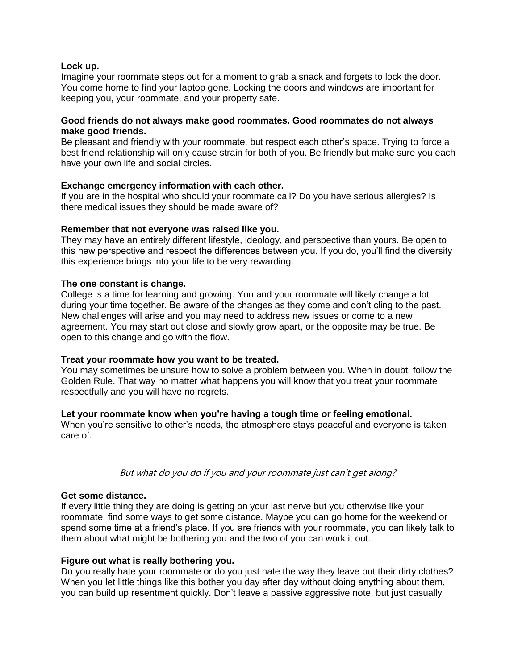# **Lock up.**

Imagine your roommate steps out for a moment to grab a snack and forgets to lock the door. You come home to find your laptop gone. Locking the doors and windows are important for keeping you, your roommate, and your property safe.

# **Good friends do not always make good roommates. Good roommates do not always make good friends.**

Be pleasant and friendly with your roommate, but respect each other's space. Trying to force a best friend relationship will only cause strain for both of you. Be friendly but make sure you each have your own life and social circles.

# **Exchange emergency information with each other.**

If you are in the hospital who should your roommate call? Do you have serious allergies? Is there medical issues they should be made aware of?

# **Remember that not everyone was raised like you.**

They may have an entirely different lifestyle, ideology, and perspective than yours. Be open to this new perspective and respect the differences between you. If you do, you'll find the diversity this experience brings into your life to be very rewarding.

# **The one constant is change.**

College is a time for learning and growing. You and your roommate will likely change a lot during your time together. Be aware of the changes as they come and don't cling to the past. New challenges will arise and you may need to address new issues or come to a new agreement. You may start out close and slowly grow apart, or the opposite may be true. Be open to this change and go with the flow.

# **Treat your roommate how you want to be treated.**

You may sometimes be unsure how to solve a problem between you. When in doubt, follow the Golden Rule. That way no matter what happens you will know that you treat your roommate respectfully and you will have no regrets.

# **Let your roommate know when you're having a tough time or feeling emotional.**

When you're sensitive to other's needs, the atmosphere stays peaceful and everyone is taken care of.

# But what do you do if you and your roommate just can't get along?

# **Get some distance.**

If every little thing they are doing is getting on your last nerve but you otherwise like your roommate, find some ways to get some distance. Maybe you can go home for the weekend or spend some time at a friend's place. If you are friends with your roommate, you can likely talk to them about what might be bothering you and the two of you can work it out.

# **Figure out what is really bothering you.**

Do you really hate your roommate or do you just hate the way they leave out their dirty clothes? When you let little things like this bother you day after day without doing anything about them, you can build up resentment quickly. Don't leave a passive aggressive note, but just casually